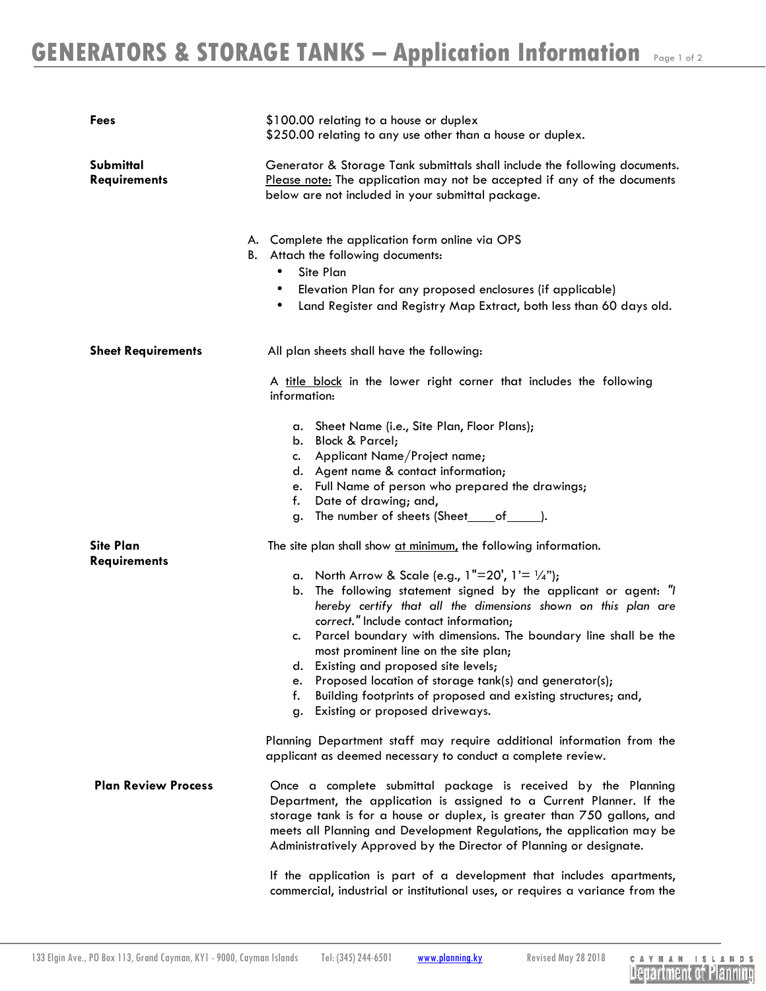| Fees                                    | \$100.00 relating to a house or duplex<br>\$250.00 relating to any use other than a house or duplex.                                                                                                                                                                                                                                                                                                                                                                                                                                                                                                                                                    |
|-----------------------------------------|---------------------------------------------------------------------------------------------------------------------------------------------------------------------------------------------------------------------------------------------------------------------------------------------------------------------------------------------------------------------------------------------------------------------------------------------------------------------------------------------------------------------------------------------------------------------------------------------------------------------------------------------------------|
| Submittal<br><b>Requirements</b>        | Generator & Storage Tank submittals shall include the following documents.<br>Please note: The application may not be accepted if any of the documents<br>below are not included in your submittal package.                                                                                                                                                                                                                                                                                                                                                                                                                                             |
|                                         | A. Complete the application form online via OPS<br>B. Attach the following documents:<br>Site Plan<br>$\bullet$<br>Elevation Plan for any proposed enclosures (if applicable)<br>٠<br>Land Register and Registry Map Extract, both less than 60 days old.<br>٠                                                                                                                                                                                                                                                                                                                                                                                          |
| <b>Sheet Requirements</b>               | All plan sheets shall have the following:                                                                                                                                                                                                                                                                                                                                                                                                                                                                                                                                                                                                               |
|                                         | A title block in the lower right corner that includes the following<br>information:                                                                                                                                                                                                                                                                                                                                                                                                                                                                                                                                                                     |
|                                         | a. Sheet Name (i.e., Site Plan, Floor Plans);<br>b. Block & Parcel;<br>c. Applicant Name/Project name;<br>d. Agent name & contact information;<br>e. Full Name of person who prepared the drawings;<br>Date of drawing; and,<br>f.<br>The number of sheets (Sheet_____of_______).<br>g.                                                                                                                                                                                                                                                                                                                                                                 |
| <b>Site Plan</b><br><b>Requirements</b> | The site plan shall show at minimum, the following information.<br>a. North Arrow & Scale (e.g., $1"=20'$ , $1'=1/4"$ );<br>The following statement signed by the applicant or agent: "I<br>b.<br>hereby certify that all the dimensions shown on this plan are<br>correct." Include contact information;<br>Parcel boundary with dimensions. The boundary line shall be the<br>c.<br>most prominent line on the site plan;<br>Existing and proposed site levels;<br>d.<br>Proposed location of storage tank(s) and generator(s);<br>e.<br>f.<br>Building footprints of proposed and existing structures; and,<br>Existing or proposed driveways.<br>g. |
|                                         | Planning Department staff may require additional information from the<br>applicant as deemed necessary to conduct a complete review.                                                                                                                                                                                                                                                                                                                                                                                                                                                                                                                    |
| <b>Plan Review Process</b>              | Once a complete submittal package is received by the Planning<br>Department, the application is assigned to a Current Planner. If the<br>storage tank is for a house or duplex, is greater than 750 gallons, and<br>meets all Planning and Development Regulations, the application may be<br>Administratively Approved by the Director of Planning or designate.<br>If the application is part of a development that includes apartments,                                                                                                                                                                                                              |
|                                         | commercial, industrial or institutional uses, or requires a variance from the                                                                                                                                                                                                                                                                                                                                                                                                                                                                                                                                                                           |